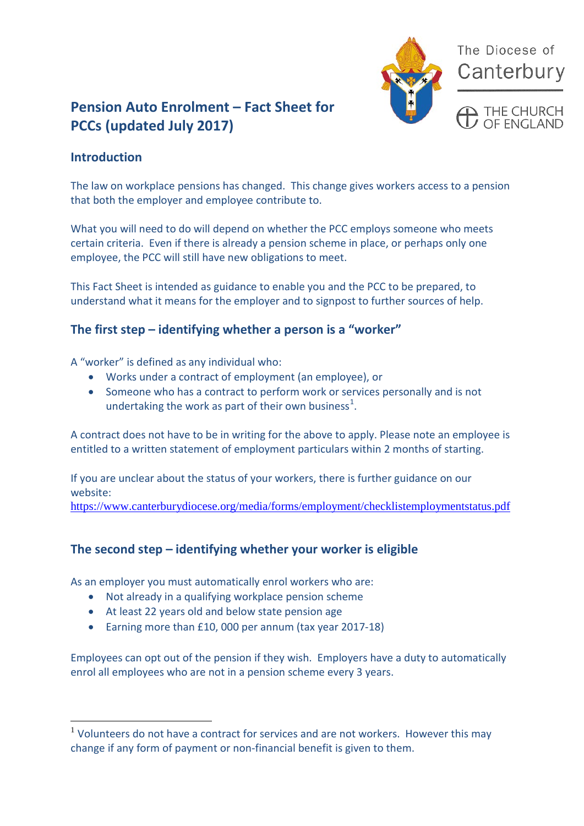

The Diocese of Canterbury

# **Pension Auto Enrolment – Fact Sheet for PCCs (updated July 2017)**

## **Introduction**

The law on workplace pensions has changed. This change gives workers access to a pension that both the employer and employee contribute to.

What you will need to do will depend on whether the PCC employs someone who meets certain criteria. Even if there is already a pension scheme in place, or perhaps only one employee, the PCC will still have new obligations to meet.

This Fact Sheet is intended as guidance to enable you and the PCC to be prepared, to understand what it means for the employer and to signpost to further sources of help.

## **The first step – identifying whether a person is a "worker"**

A "worker" is defined as any individual who:

- Works under a contract of employment (an employee), or
- Someone who has a contract to perform work or services personally and is not undertaking the work as part of their own business<sup>[1](#page-0-0)</sup>.

A contract does not have to be in writing for the above to apply. Please note an employee is entitled to a written statement of employment particulars within 2 months of starting.

If you are unclear about the status of your workers, there is further guidance on our website:

<https://www.canterburydiocese.org/media/forms/employment/checklistemploymentstatus.pdf>

## **The second step – identifying whether your worker is eligible**

As an employer you must automatically enrol workers who are:

- Not already in a qualifying workplace pension scheme
- At least 22 years old and below state pension age
- Earning more than £10, 000 per annum (tax year 2017-18)

Employees can opt out of the pension if they wish. Employers have a duty to automatically enrol all employees who are not in a pension scheme every 3 years.

<span id="page-0-0"></span><sup>&</sup>lt;sup>1</sup> Volunteers do not have a contract for services and are not workers. However this may change if any form of payment or non-financial benefit is given to them.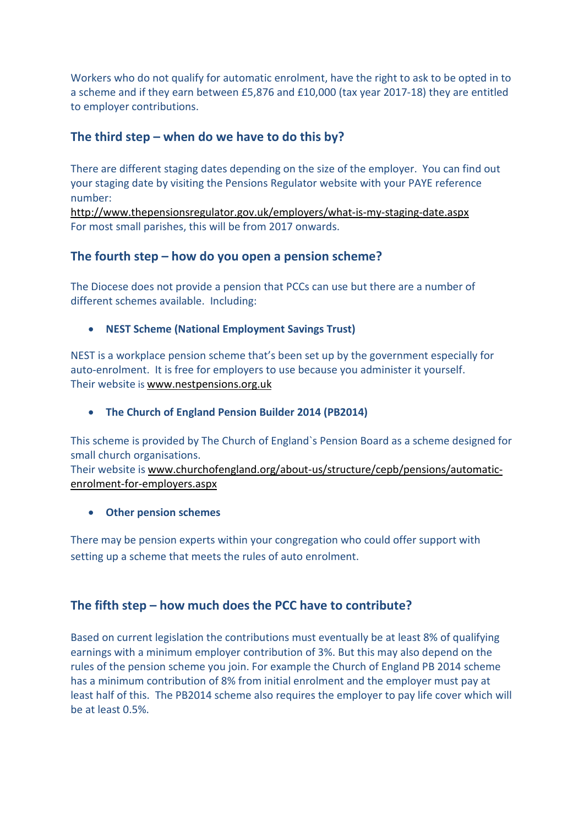Workers who do not qualify for automatic enrolment, have the right to ask to be opted in to a scheme and if they earn between £5,876 and £10,000 (tax year 2017-18) they are entitled to employer contributions.

#### **The third step – when do we have to do this by?**

There are different staging dates depending on the size of the employer. You can find out your staging date by visiting the Pensions Regulator website with your PAYE reference number:

<http://www.thepensionsregulator.gov.uk/employers/what-is-my-staging-date.aspx> For most small parishes, this will be from 2017 onwards.

## **The fourth step – how do you open a pension scheme?**

The Diocese does not provide a pension that PCCs can use but there are a number of different schemes available. Including:

#### • **NEST Scheme (National Employment Savings Trust)**

NEST is a workplace pension scheme that's been set up by the government especially for auto-enrolment. It is free for employers to use because you administer it yourself. Their website is [www.nestpensions.org.uk](http://www.nestpensions.org.uk/)

• **The Church of England Pension Builder 2014 (PB2014)**

This scheme is provided by The Church of England`s Pension Board as a scheme designed for small church organisations.

Their website is [www.churchofengland.org/about-us/structure/cepb/pensions/automatic](http://www.churchofengland.org/about-us/structure/cepb/pensions/automatic-enrolment-for-employers.aspx)[enrolment-for-employers.aspx](http://www.churchofengland.org/about-us/structure/cepb/pensions/automatic-enrolment-for-employers.aspx)

• **Other pension schemes**

There may be pension experts within your congregation who could offer support with setting up a scheme that meets the rules of auto enrolment.

## **The fifth step – how much does the PCC have to contribute?**

Based on current legislation the contributions must eventually be at least 8% of qualifying earnings with a minimum employer contribution of 3%. But this may also depend on the rules of the pension scheme you join. For example the Church of England PB 2014 scheme has a minimum contribution of 8% from initial enrolment and the employer must pay at least half of this. The PB2014 scheme also requires the employer to pay life cover which will be at least 0.5%.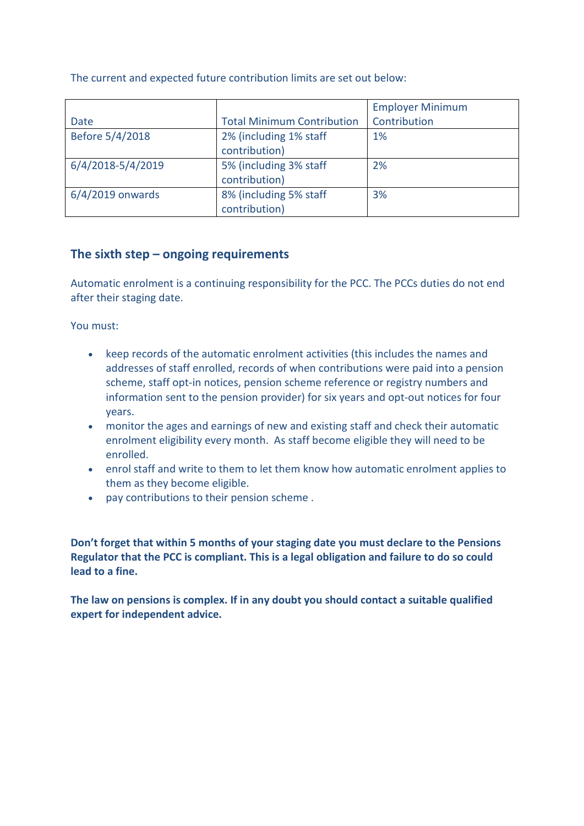The current and expected future contribution limits are set out below:

|                    |                                   | <b>Employer Minimum</b> |
|--------------------|-----------------------------------|-------------------------|
| Date               | <b>Total Minimum Contribution</b> | Contribution            |
| Before 5/4/2018    | 2% (including 1% staff            | 1%                      |
|                    | contribution)                     |                         |
| 6/4/2018-5/4/2019  | 5% (including 3% staff            | 2%                      |
|                    | contribution)                     |                         |
| $6/4/2019$ onwards | 8% (including 5% staff            | 3%                      |
|                    | contribution)                     |                         |

#### **The sixth step – ongoing requirements**

Automatic enrolment is a continuing responsibility for the PCC. The PCCs duties do not end after their staging date.

You must:

- keep records of the automatic enrolment activities (this includes the names and addresses of staff enrolled, records of when contributions were paid into a pension scheme, staff opt-in notices, pension scheme reference or registry numbers and information sent to the pension provider) for six years and opt-out notices for four years.
- monitor the ages and earnings of new and existing staff and check their automatic enrolment eligibility every month. As staff become eligible they will need to be enrolled.
- enrol staff and write to them to let them know how automatic enrolment applies to them as they become eligible.
- pay contributions to their pension scheme .

**Don't forget that within 5 months of your staging date you must declare to the Pensions Regulator that the PCC is compliant. This is a legal obligation and failure to do so could lead to a fine.**

**The law on pensions is complex. If in any doubt you should contact a suitable qualified expert for independent advice.**